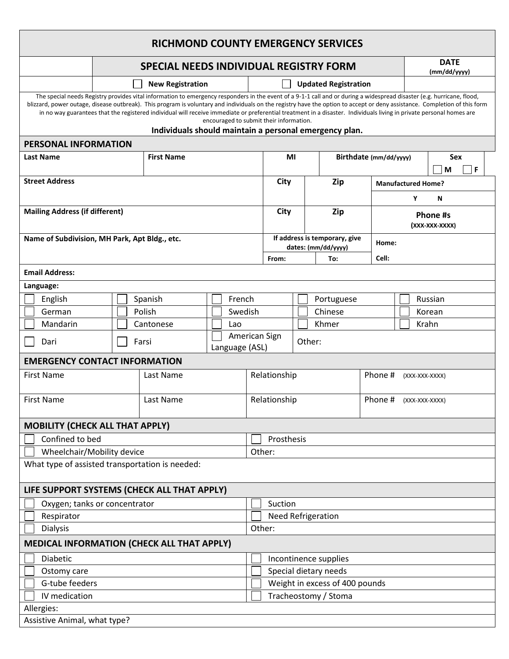| <b>RICHMOND COUNTY EMERGENCY SERVICES</b>                                                                                                                                                                                                                                                                                                                                                                                                                                                                                                                                                                                         |                                               |  |           |         |                           |                             |                                |                        |                                                      |  |                            |                 |         |  |  |  |  |
|-----------------------------------------------------------------------------------------------------------------------------------------------------------------------------------------------------------------------------------------------------------------------------------------------------------------------------------------------------------------------------------------------------------------------------------------------------------------------------------------------------------------------------------------------------------------------------------------------------------------------------------|-----------------------------------------------|--|-----------|---------|---------------------------|-----------------------------|--------------------------------|------------------------|------------------------------------------------------|--|----------------------------|-----------------|---------|--|--|--|--|
|                                                                                                                                                                                                                                                                                                                                                                                                                                                                                                                                                                                                                                   | <b>SPECIAL NEEDS INDIVIDUAL REGISTRY FORM</b> |  |           |         |                           |                             |                                |                        | <b>DATE</b><br>(mm/dd/yyyy)                          |  |                            |                 |         |  |  |  |  |
|                                                                                                                                                                                                                                                                                                                                                                                                                                                                                                                                                                                                                                   | <b>New Registration</b>                       |  |           |         |                           | <b>Updated Registration</b> |                                |                        |                                                      |  |                            |                 |         |  |  |  |  |
| The special needs Registry provides vital information to emergency responders in the event of a 9-1-1 call and or during a widespread disaster (e.g. hurricane, flood,<br>blizzard, power outage, disease outbreak). This program is voluntary and individuals on the registry have the option to accept or deny assistance. Completion of this form<br>in no way guarantees that the registered individual will receive immediate or preferential treatment in a disaster. Individuals living in private personal homes are<br>encouraged to submit their information.<br>Individuals should maintain a personal emergency plan. |                                               |  |           |         |                           |                             |                                |                        |                                                      |  |                            |                 |         |  |  |  |  |
| <b>PERSONAL INFORMATION</b>                                                                                                                                                                                                                                                                                                                                                                                                                                                                                                                                                                                                       |                                               |  |           |         |                           |                             |                                |                        |                                                      |  |                            |                 |         |  |  |  |  |
| <b>First Name</b><br><b>Last Name</b>                                                                                                                                                                                                                                                                                                                                                                                                                                                                                                                                                                                             |                                               |  |           |         | MI                        |                             |                                | Birthdate (mm/dd/yyyy) |                                                      |  |                            | Sex<br>  F<br>M |         |  |  |  |  |
| <b>Street Address</b>                                                                                                                                                                                                                                                                                                                                                                                                                                                                                                                                                                                                             |                                               |  |           |         |                           | City                        |                                | Zip                    |                                                      |  | <b>Manufactured Home?</b>  |                 |         |  |  |  |  |
|                                                                                                                                                                                                                                                                                                                                                                                                                                                                                                                                                                                                                                   |                                               |  |           |         |                           |                             |                                |                        |                                                      |  | Υ<br>Ν                     |                 |         |  |  |  |  |
| <b>Mailing Address (if different)</b>                                                                                                                                                                                                                                                                                                                                                                                                                                                                                                                                                                                             |                                               |  |           |         |                           | City                        |                                | Zip                    |                                                      |  | Phone #s<br>(XXX-XXX-XXXX) |                 |         |  |  |  |  |
| Name of Subdivision, MH Park, Apt Bldg., etc.                                                                                                                                                                                                                                                                                                                                                                                                                                                                                                                                                                                     |                                               |  |           |         |                           |                             |                                |                        | If address is temporary, give<br>dates: (mm/dd/yyyy) |  | Home:                      |                 |         |  |  |  |  |
|                                                                                                                                                                                                                                                                                                                                                                                                                                                                                                                                                                                                                                   |                                               |  |           |         |                           |                             | From:                          |                        | To:                                                  |  | Cell:                      |                 |         |  |  |  |  |
| <b>Email Address:</b>                                                                                                                                                                                                                                                                                                                                                                                                                                                                                                                                                                                                             |                                               |  |           |         |                           |                             |                                |                        |                                                      |  |                            |                 |         |  |  |  |  |
| Language:                                                                                                                                                                                                                                                                                                                                                                                                                                                                                                                                                                                                                         |                                               |  |           |         |                           |                             |                                |                        |                                                      |  |                            |                 |         |  |  |  |  |
| English                                                                                                                                                                                                                                                                                                                                                                                                                                                                                                                                                                                                                           |                                               |  | Spanish   | French  |                           |                             |                                |                        | Portuguese                                           |  |                            |                 | Russian |  |  |  |  |
| German                                                                                                                                                                                                                                                                                                                                                                                                                                                                                                                                                                                                                            | Polish                                        |  |           | Swedish |                           |                             |                                |                        | Chinese                                              |  |                            | Korean          |         |  |  |  |  |
| Mandarin                                                                                                                                                                                                                                                                                                                                                                                                                                                                                                                                                                                                                          | Cantonese                                     |  |           | Lao     |                           |                             |                                | Khmer                  |                                                      |  |                            |                 | Krahn   |  |  |  |  |
| Farsi<br>Dari<br>Language (ASL)                                                                                                                                                                                                                                                                                                                                                                                                                                                                                                                                                                                                   |                                               |  |           |         |                           |                             | American Sign<br>Other:        |                        |                                                      |  |                            |                 |         |  |  |  |  |
| <b>EMERGENCY CONTACT INFORMATION</b>                                                                                                                                                                                                                                                                                                                                                                                                                                                                                                                                                                                              |                                               |  |           |         |                           |                             |                                |                        |                                                      |  |                            |                 |         |  |  |  |  |
| <b>First Name</b>                                                                                                                                                                                                                                                                                                                                                                                                                                                                                                                                                                                                                 |                                               |  | Last Name |         |                           |                             | Relationship                   |                        |                                                      |  | Phone #<br>(XXX-XXX-XXXX)  |                 |         |  |  |  |  |
| <b>First Name</b>                                                                                                                                                                                                                                                                                                                                                                                                                                                                                                                                                                                                                 |                                               |  | Last Name |         |                           |                             | Relationship                   |                        |                                                      |  | Phone #<br>(XXX-XXX-XXXX)  |                 |         |  |  |  |  |
| <b>MOBILITY (CHECK ALL THAT APPLY)</b>                                                                                                                                                                                                                                                                                                                                                                                                                                                                                                                                                                                            |                                               |  |           |         |                           |                             |                                |                        |                                                      |  |                            |                 |         |  |  |  |  |
| Confined to bed                                                                                                                                                                                                                                                                                                                                                                                                                                                                                                                                                                                                                   |                                               |  |           |         |                           | Prosthesis                  |                                |                        |                                                      |  |                            |                 |         |  |  |  |  |
| Wheelchair/Mobility device                                                                                                                                                                                                                                                                                                                                                                                                                                                                                                                                                                                                        |                                               |  |           |         | Other:                    |                             |                                |                        |                                                      |  |                            |                 |         |  |  |  |  |
| What type of assisted transportation is needed:                                                                                                                                                                                                                                                                                                                                                                                                                                                                                                                                                                                   |                                               |  |           |         |                           |                             |                                |                        |                                                      |  |                            |                 |         |  |  |  |  |
| LIFE SUPPORT SYSTEMS (CHECK ALL THAT APPLY)                                                                                                                                                                                                                                                                                                                                                                                                                                                                                                                                                                                       |                                               |  |           |         |                           |                             |                                |                        |                                                      |  |                            |                 |         |  |  |  |  |
| Oxygen; tanks or concentrator                                                                                                                                                                                                                                                                                                                                                                                                                                                                                                                                                                                                     |                                               |  |           |         | Suction                   |                             |                                |                        |                                                      |  |                            |                 |         |  |  |  |  |
| Respirator                                                                                                                                                                                                                                                                                                                                                                                                                                                                                                                                                                                                                        |                                               |  |           |         | <b>Need Refrigeration</b> |                             |                                |                        |                                                      |  |                            |                 |         |  |  |  |  |
| Other:<br><b>Dialysis</b>                                                                                                                                                                                                                                                                                                                                                                                                                                                                                                                                                                                                         |                                               |  |           |         |                           |                             |                                |                        |                                                      |  |                            |                 |         |  |  |  |  |
| <b>MEDICAL INFORMATION (CHECK ALL THAT APPLY)</b>                                                                                                                                                                                                                                                                                                                                                                                                                                                                                                                                                                                 |                                               |  |           |         |                           |                             |                                |                        |                                                      |  |                            |                 |         |  |  |  |  |
| Diabetic                                                                                                                                                                                                                                                                                                                                                                                                                                                                                                                                                                                                                          |                                               |  |           |         |                           | Incontinence supplies       |                                |                        |                                                      |  |                            |                 |         |  |  |  |  |
| Ostomy care                                                                                                                                                                                                                                                                                                                                                                                                                                                                                                                                                                                                                       |                                               |  |           |         |                           |                             | Special dietary needs          |                        |                                                      |  |                            |                 |         |  |  |  |  |
| G-tube feeders                                                                                                                                                                                                                                                                                                                                                                                                                                                                                                                                                                                                                    |                                               |  |           |         |                           |                             | Weight in excess of 400 pounds |                        |                                                      |  |                            |                 |         |  |  |  |  |
| IV medication                                                                                                                                                                                                                                                                                                                                                                                                                                                                                                                                                                                                                     |                                               |  |           |         |                           | Tracheostomy / Stoma        |                                |                        |                                                      |  |                            |                 |         |  |  |  |  |
| Allergies:<br>Assistive Animal, what type?                                                                                                                                                                                                                                                                                                                                                                                                                                                                                                                                                                                        |                                               |  |           |         |                           |                             |                                |                        |                                                      |  |                            |                 |         |  |  |  |  |
|                                                                                                                                                                                                                                                                                                                                                                                                                                                                                                                                                                                                                                   |                                               |  |           |         |                           |                             |                                |                        |                                                      |  |                            |                 |         |  |  |  |  |